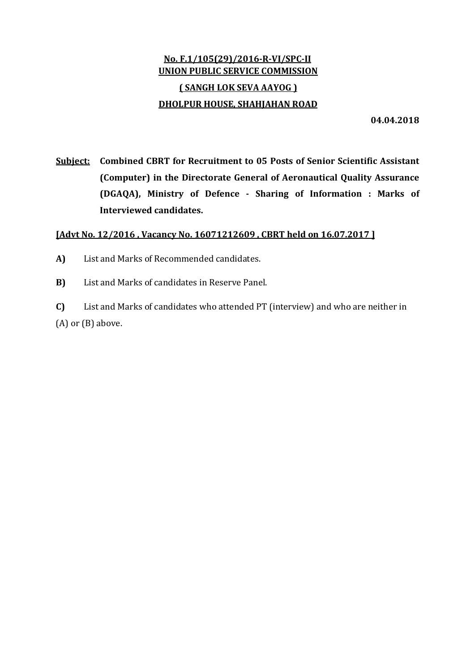## No. F.1/105(29)/2016-R-VI/SPC-II UNION PUBLIC SERVICE COMMISSION ( SANGH LOK SEVA AAYOG ) DHOLPUR HOUSE, SHAHJAHAN ROAD

04.04.2018

Subject: Combined CBRT for Recruitment to 05 Posts of Senior Scientific Assistant (Computer) in the Directorate General of Aeronautical Quality Assurance (DGAQA), Ministry of Defence - Sharing of Information : Marks of Interviewed candidates.

## [Advt No. 12/2016 , Vacancy No. 16071212609 , CBRT held on 16.07.2017 ]

- A) List and Marks of Recommended candidates.
- B) List and Marks of candidates in Reserve Panel.

C) List and Marks of candidates who attended PT (interview) and who are neither in (A) or (B) above.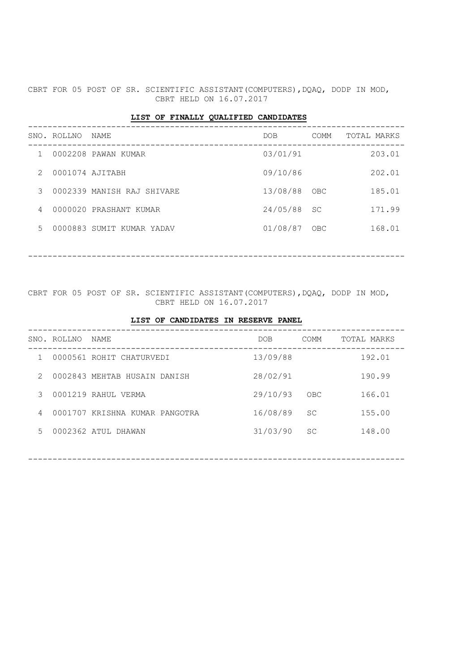CBRT FOR 05 POST OF SR. SCIENTIFIC ASSISTANT (COMPUTERS), DQAQ, DODP IN MOD, CBRT HELD ON 16.07.2017

## LIST OF FINALLY QUALIFIED CANDIDATES

|               | SNO. ROLLNO     | NAME                       | DOB.          | COMM | TOTAL MARKS |        |
|---------------|-----------------|----------------------------|---------------|------|-------------|--------|
|               |                 | 0002208 PAWAN KUMAR        | 03/01/91      |      |             | 203.01 |
| $\mathcal{P}$ | 0001074 AJITABH |                            | 09/10/86      |      |             | 202.01 |
| 3             |                 | 0002339 MANISH RAJ SHIVARE | 13/08/88      | OBC  |             | 185.01 |
| 4             |                 | 0000020 PRASHANT KUMAR     | $24/05/88$ SC |      |             | 171.99 |
| 5             |                 | 0000883 SUMIT KUMAR YADAV  | 01/08/87      | OBC  |             | 168.01 |
|               |                 |                            |               |      |             |        |

-----------------------------------------------------------------------------

CBRT FOR 05 POST OF SR. SCIENTIFIC ASSISTANT (COMPUTERS), DQAQ, DODP IN MOD, CBRT HELD ON 16.07.2017

|   | SNO. ROLLNO | NAME                           | DOB.     | COMM      | TOTAL MARKS |
|---|-------------|--------------------------------|----------|-----------|-------------|
|   |             | 0000561 ROHIT CHATURVEDI       | 13/09/88 |           | 192.01      |
| 2 |             | 0002843 MEHTAB HUSAIN DANISH   | 28/02/91 |           | 190.99      |
| 3 |             | 0001219 RAHUL VERMA            | 29/10/93 | OBC       | 166.01      |
| 4 |             | 0001707 KRISHNA KUMAR PANGOTRA | 16/08/89 | <b>SC</b> | 155.00      |
| 5 |             | 0002362 ATUL DHAWAN            | 31/03/90 | SC        | 148.00      |
|   |             |                                |          |           |             |

-----------------------------------------------------------------------------

## LIST OF CANDIDATES IN RESERVE PANEL